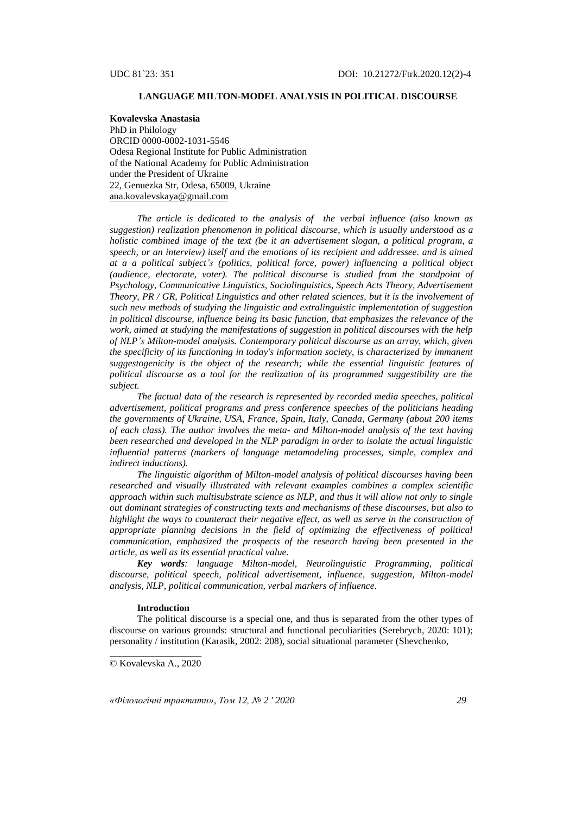# **LANGUAGE MILTON-MODEL ANALYSIS IN POLITICAL DISCOURSE**

**Kovalevska Anastasia**  PhD in Philology ORCID 0000-0002-1031-5546 Odesa Regional Institute for Public Administration of the National Academy for Public Administration under the President of Ukraine 22, Genuezka Str, Odesa, 65009, Ukraine [ana.kovalevskaya@gmail.com](mailto:ana.kovalevskaya@gmail.com)

*The article is dedicated to the analysis of the verbal influence (also known as suggestion) realization phenomenon in political discourse, which is usually understood as a holistic combined image of the text (be it an advertisement slogan, a political program, a speech, or an interview) itself and the emotions of its recipient and addressee. and is aimed at a a political subject's (politics, political force, power) influencing a political object (audience, electorate, voter). The political discourse is studied from the standpoint of Psychology, Communicative Linguistics, Sociolinguistics, Speech Acts Theory, Advertisement Theory, PR / GR, Political Linguistics and other related sciences, but it is the involvement of such new methods of studying the linguistic and extralinguistic implementation of suggestion in political discourse, influence being its basic function, that emphasizes the relevance of the work, aimed at studying the manifestations of suggestion in political discourses with the help of NLP's Milton-model analysis. Contemporary political discourse as an array, which, given the specificity of its functioning in today's information society, is characterized by immanent suggestogenicity is the object of the research; while the essential linguistic features of political discourse as a tool for the realization of its programmed suggestibility are the subject.*

*The factual data of the research is represented by recorded media speeches, political advertisement, political programs and press conference speeches of the politicians heading the governments of Ukraine, USA, France, Spain, Italy, Canada, Germany (about 200 items of each class). The author involves the meta- and Milton-model analysis of the text having been researched and developed in the NLP paradigm in order to isolate the actual linguistic influential patterns (markers of language metamodeling processes, simple, complex and indirect inductions).* 

*The linguistic algorithm of Milton-model analysis of political discourses having been researched and visually illustrated with relevant examples combines a complex scientific approach within such multisubstrate science as NLP, and thus it will allow not only to single out dominant strategies of constructing texts and mechanisms of these discourses, but also to highlight the ways to counteract their negative effect, as well as serve in the construction of appropriate planning decisions in the field of optimizing the effectiveness of political communication, emphasized the prospects of the research having been presented in the article, as well as its essential practical value.*

*Key words: language Milton-model, Neurolinguistic Programming, political discourse, political speech, political advertisement, influence, suggestion, Milton-model analysis, NLP, political communication, verbal markers of influence.*

#### **Introduction**

The political discourse is a special one, and thus is separated from the other types of discourse on various grounds: structural and functional peculiarities (Serebrych, 2020: 101); personality / institution (Karasik, 2002: 208), social situational parameter (Shevchenko,

*«Філологічні трактати», Том 12, № 2 ' 2020 29*

\_\_\_\_\_\_\_\_\_\_\_\_\_\_\_\_\_\_\_ © Kovalevska A., 2020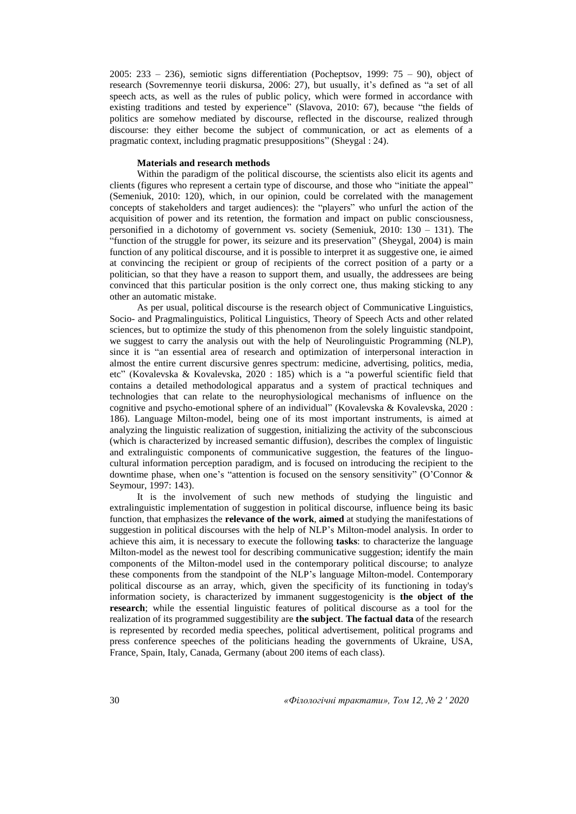2005: 233 – 236), semiotic signs differentiation (Pocheptsov, 1999: 75 – 90), object of research (Sovremennye teorii diskursa, 2006: 27), but usually, it's defined as "a set of all speech acts, as well as the rules of public policy, which were formed in accordance with existing traditions and tested by experience" (Slavova, 2010: 67), because "the fields of politics are somehow mediated by discourse, reflected in the discourse, realized through discourse: they either become the subject of communication, or act as elements of a pragmatic context, including pragmatic presuppositions" (Sheygal : 24).

#### **Materials and research methods**

Within the paradigm of the political discourse, the scientists also elicit its agents and clients (figures who represent a certain type of discourse, and those who "initiate the appeal" (Semeniuk, 2010: 120), which, in our opinion, could be correlated with the management concepts of stakeholders and target audiences): the "players" who unfurl the action of the acquisition of power and its retention, the formation and impact on public consciousness, personified in a dichotomy of government vs. society (Semeniuk, 2010: 130 – 131). The "function of the struggle for power, its seizure and its preservation" (Sheygal, 2004) is main function of any political discourse, and it is possible to interpret it as suggestive one, ie aimed at convincing the recipient or group of recipients of the correct position of a party or a politician, so that they have a reason to support them, and usually, the addressees are being convinced that this particular position is the only correct one, thus making sticking to any other an automatic mistake.

As per usual, political discourse is the research object of Communicative Linguistics, Socio- and Pragmalinguistics, Political Linguistics, Theory of Speech Acts and other related sciences, but to optimize the study of this phenomenon from the solely linguistic standpoint, we suggest to carry the analysis out with the help of Neurolinguistic Programming (NLP), since it is "an essential area of research and optimization of interpersonal interaction in almost the entire current discursive genres spectrum: medicine, advertising, politics, media, etc" (Kovalevska & Kovalevska, 2020 : 185) which is a "a powerful scientific field that contains a detailed methodological apparatus and a system of practical techniques and technologies that can relate to the neurophysiological mechanisms of influence on the cognitive and psycho-emotional sphere of an individual" (Kovalevska & Kovalevska, 2020 : 186). Language Milton-model, being one of its most important instruments, is aimed at analyzing the linguistic realization of suggestion, initializing the activity of the subconscious (which is characterized by increased semantic diffusion), describes the complex of linguistic and extralinguistic components of communicative suggestion, the features of the linguocultural information perception paradigm, and is focused on introducing the recipient to the downtime phase, when one's "attention is focused on the sensory sensitivity" (O'Connor & Seymour, 1997: 143).

It is the involvement of such new methods of studying the linguistic and extralinguistic implementation of suggestion in political discourse, influence being its basic function, that emphasizes the **relevance of the work**, **aimed** at studying the manifestations of suggestion in political discourses with the help of NLP's Milton-model analysis. In order to achieve this aim, it is necessary to execute the following **tasks**: to characterize the language Milton-model as the newest tool for describing communicative suggestion; identify the main components of the Milton-model used in the contemporary political discourse; to analyze these components from the standpoint of the NLP's language Milton-model. Contemporary political discourse as an array, which, given the specificity of its functioning in today's information society, is characterized by immanent suggestogenicity is **the object of the research**; while the essential linguistic features of political discourse as a tool for the realization of its programmed suggestibility are **the subject**. **The factual data** of the research is represented by recorded media speeches, political advertisement, political programs and press conference speeches of the politicians heading the governments of Ukraine, USA, France, Spain, Italy, Canada, Germany (about 200 items of each class).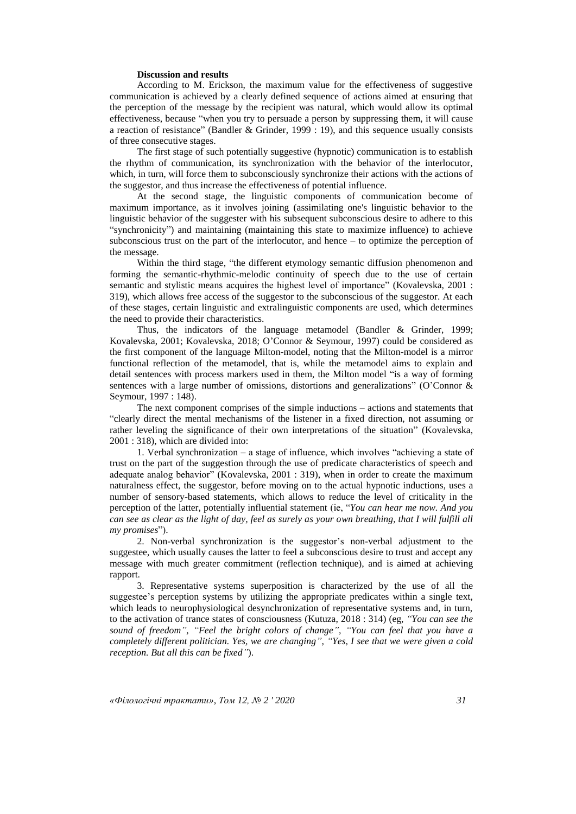# **Discussion and results**

According to M. Erickson, the maximum value for the effectiveness of suggestive communication is achieved by a clearly defined sequence of actions aimed at ensuring that the perception of the message by the recipient was natural, which would allow its optimal effectiveness, because "when you try to persuade a person by suppressing them, it will cause a reaction of resistance" (Bandler & Grinder, 1999 : 19), and this sequence usually consists of three consecutive stages.

The first stage of such potentially suggestive (hypnotic) communication is to establish the rhythm of communication, its synchronization with the behavior of the interlocutor, which, in turn, will force them to subconsciously synchronize their actions with the actions of the suggestor, and thus increase the effectiveness of potential influence.

At the second stage, the linguistic components of communication become of maximum importance, as it involves joining (assimilating one's linguistic behavior to the linguistic behavior of the suggester with his subsequent subconscious desire to adhere to this "synchronicity") and maintaining (maintaining this state to maximize influence) to achieve subconscious trust on the part of the interlocutor, and hence – to optimize the perception of the message.

Within the third stage, "the different etymology semantic diffusion phenomenon and forming the semantic-rhythmic-melodic continuity of speech due to the use of certain semantic and stylistic means acquires the highest level of importance" (Kovalevska, 2001 : 319), which allows free access of the suggestor to the subconscious of the suggestor. At each of these stages, certain linguistic and extralinguistic components are used, which determines the need to provide their characteristics.

Thus, the indicators of the language metamodel (Bandler & Grinder, 1999; Kovalevska, 2001; Kovalevska, 2018; O'Connor & Seymour, 1997) could be considered as the first component of the language Milton-model, noting that the Milton-model is a mirror functional reflection of the metamodel, that is, while the metamodel aims to explain and detail sentences with process markers used in them, the Milton model "is a way of forming sentences with a large number of omissions, distortions and generalizations" (O'Connor & Seymour, 1997 : 148).

The next component comprises of the simple inductions – actions and statements that "clearly direct the mental mechanisms of the listener in a fixed direction, not assuming or rather leveling the significance of their own interpretations of the situation" (Kovalevska, 2001 : 318), which are divided into:

1. Verbal synchronization – a stage of influence, which involves "achieving a state of trust on the part of the suggestion through the use of predicate characteristics of speech and adequate analog behavior" (Kovalevska, 2001 : 319), when in order to create the maximum naturalness effect, the suggestor, before moving on to the actual hypnotic inductions, uses a number of sensory-based statements, which allows to reduce the level of criticality in the perception of the latter, potentially influential statement (ie, "*You can hear me now. And you can see as clear as the light of day, feel as surely as your own breathing, that I will fulfill all my promises*").

2. Non-verbal synchronization is the suggestor's non-verbal adjustment to the suggestee, which usually causes the latter to feel a subconscious desire to trust and accept any message with much greater commitment (reflection technique), and is aimed at achieving rapport.

3. Representative systems superposition is characterized by the use of all the suggestee's perception systems by utilizing the appropriate predicates within a single text, which leads to neurophysiological desynchronization of representative systems and, in turn, to the activation of trance states of consciousness (Kutuza, 2018 : 314) (eg, *"You can see the sound of freedom", "Feel the bright colors of change", "You can feel that you have a completely different politician. Yes, we are changing", "Yes, I see that we were given a cold reception. But all this can be fixed"*).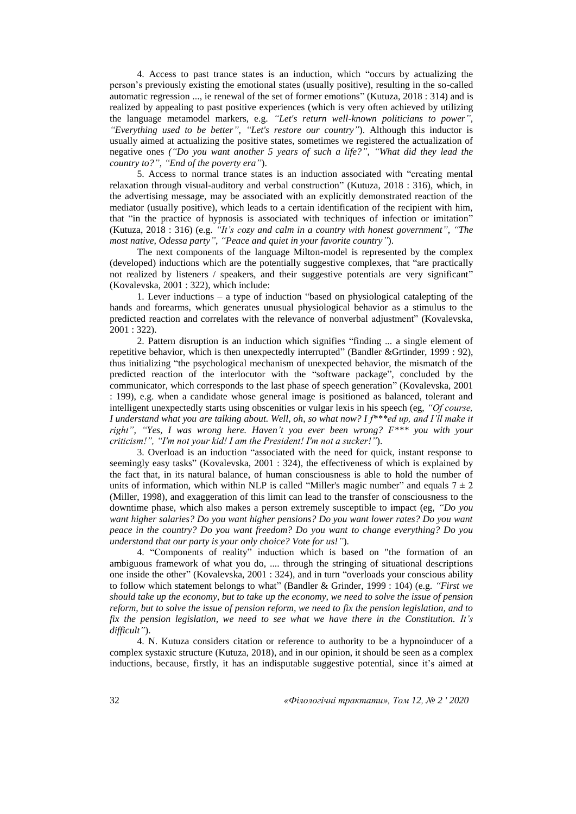4. Access to past trance states is an induction, which "occurs by actualizing the person's previously existing the emotional states (usually positive), resulting in the so-called automatic regression ..., ie renewal of the set of former emotions" (Kutuza, 2018 : 314) and is realized by appealing to past positive experiences (which is very often achieved by utilizing the language metamodel markers, e.g. *"Let's return well-known politicians to power", "Everything used to be better", "Let's restore our country"*). Although this inductor is usually aimed at actualizing the positive states, sometimes we registered the actualization of negative ones *("Do you want another 5 years of such a life?", "What did they lead the country to?", "End of the poverty era"*).

5. Access to normal trance states is an induction associated with "creating mental relaxation through visual-auditory and verbal construction" (Kutuza, 2018 : 316), which, in the advertising message, may be associated with an explicitly demonstrated reaction of the mediator (usually positive), which leads to a certain identification of the recipient with him, that "in the practice of hypnosis is associated with techniques of infection or imitation" (Kutuza, 2018 : 316) (e.g. *"It's cozy and calm in a country with honest government", "The most native, Odessa party", "Peace and quiet in your favorite country"*).

The next components of the language Milton-model is represented by the complex (developed) inductions which are the potentially suggestive complexes, that "are practically not realized by listeners / speakers, and their suggestive potentials are very significant" (Kovalevska, 2001 : 322), which include:

1. Lever inductions – a type of induction "based on physiological catalepting of the hands and forearms, which generates unusual physiological behavior as a stimulus to the predicted reaction and correlates with the relevance of nonverbal adjustment" (Kovalevska, 2001 : 322).

2. Pattern disruption is an induction which signifies "finding ... a single element of repetitive behavior, which is then unexpectedly interrupted" (Bandler &Grtinder, 1999 : 92), thus initializing "the psychological mechanism of unexpected behavior, the mismatch of the predicted reaction of the interlocutor with the "software package", concluded by the communicator, which corresponds to the last phase of speech generation" (Kovalevska, 2001 : 199), e.g. when a candidate whose general image is positioned as balanced, tolerant and intelligent unexpectedly starts using obscenities or vulgar lexis in his speech (eg, *"Of course, I understand what you are talking about. Well, oh, so what now? I f\*\*\*ed up, and I'll make it right", "Yes, I was wrong here. Haven't you ever been wrong? F\*\*\* you with your criticism!", "I'm not your kid! I am the President! I'm not a sucker!"*).

3. Overload is an induction "associated with the need for quick, instant response to seemingly easy tasks" (Kovalevska, 2001 : 324), the effectiveness of which is explained by the fact that, in its natural balance, of human consciousness is able to hold the number of units of information, which within NLP is called "Miller's magic number" and equals  $7 \pm 2$ (Miller, 1998), and exaggeration of this limit can lead to the transfer of consciousness to the downtime phase, which also makes a person extremely susceptible to impact (eg, *"Do you want higher salaries? Do you want higher pensions? Do you want lower rates? Do you want peace in the country? Do you want freedom? Do you want to change everything? Do you understand that our party is your only choice? Vote for us!"*).

4. "Components of reality" induction which is based on "the formation of an ambiguous framework of what you do, .... through the stringing of situational descriptions one inside the other" (Kovalevska, 2001 : 324), and in turn "overloads your conscious ability to follow which statement belongs to what" (Bandler & Grinder, 1999 : 104) (e.g. *"First we should take up the economy, but to take up the economy, we need to solve the issue of pension reform, but to solve the issue of pension reform, we need to fix the pension legislation, and to fix the pension legislation, we need to see what we have there in the Constitution. It's difficult"*).

4. N. Kutuza considers citation or reference to authority to be a hypnoinducer of a complex systaxic structure (Kutuza, 2018), and in our opinion, it should be seen as a complex inductions, because, firstly, it has an indisputable suggestive potential, since it's aimed at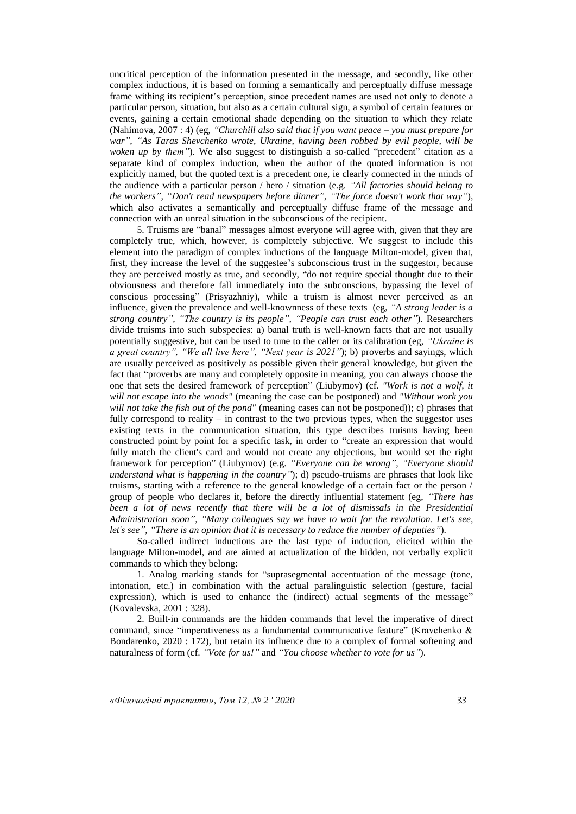uncritical perception of the information presented in the message, and secondly, like other complex inductions, it is based on forming a semantically and perceptually diffuse message frame withing its recipient's perception, since precedent names are used not only to denote a particular person, situation, but also as a certain cultural sign, a symbol of certain features or events, gaining a certain emotional shade depending on the situation to which they relate (Nahimova, 2007 : 4) (eg, *"Churchill also said that if you want peace – you must prepare for war", "As Taras Shevchenko wrote, Ukraine, having been robbed by evil people, will be woken up by them"*). We also suggest to distinguish a so-called "precedent" citation as a separate kind of complex induction, when the author of the quoted information is not explicitly named, but the quoted text is a precedent one, ie clearly connected in the minds of the audience with a particular person / hero / situation (e.g. *"All factories should belong to the workers", "Don't read newspapers before dinner", "The force doesn't work that way"*), which also activates a semantically and perceptually diffuse frame of the message and connection with an unreal situation in the subconscious of the recipient.

5. Truisms are "banal" messages almost everyone will agree with, given that they are completely true, which, however, is completely subjective. We suggest to include this element into the paradigm of complex inductions of the language Milton-model, given that, first, they increase the level of the suggestee's subconscious trust in the suggestor, because they are perceived mostly as true, and secondly, "do not require special thought due to their obviousness and therefore fall immediately into the subconscious, bypassing the level of conscious processing" (Prisyazhniy), while a truism is almost never perceived as an influence, given the prevalence and well-knownness of these texts (eg, *"A strong leader is a strong country", "The country is its people", "People can trust each other"*). Researchers divide truisms into such subspecies: а) banal truth is well-known facts that are not usually potentially suggestive, but can be used to tune to the caller or its calibration (eg, *"Ukraine is a great country", "We all live here", "Next year is 2021"*); b) proverbs and sayings, which are usually perceived as positively as possible given their general knowledge, but given the fact that "proverbs are many and completely opposite in meaning, you can always choose the one that sets the desired framework of perception" (Liubymov) (cf. *"Work is not a wolf, it will not escape into the woods"* (meaning the case can be postponed) and *"Without work you will not take the fish out of the pond"* (meaning cases can not be postponed)); c) phrases that fully correspond to reality  $-$  in contrast to the two previous types, when the suggestor uses existing texts in the communication situation, this type describes truisms having been constructed point by point for a specific task, in order to "create an expression that would fully match the client's card and would not create any objections, but would set the right framework for perception" (Liubymov) (e.g. *"Everyone can be wrong", "Everyone should understand what is happening in the country"*); d) pseudo-truisms are phrases that look like truisms, starting with a reference to the general knowledge of a certain fact or the person / group of people who declares it, before the directly influential statement (eg, *"There has been a lot of news recently that there will be a lot of dismissals in the Presidential Administration soon", "Many colleagues say we have to wait for the revolution. Let's see, let's see", "There is an opinion that it is necessary to reduce the number of deputies"*).

So-called indirect inductions are the last type of induction, elicited within the language Milton-model, and are aimed at actualization of the hidden, not verbally explicit commands to which they belong:

1. Analog marking stands for "suprasegmental accentuation of the message (tone, intonation, etc.) in combination with the actual paralinguistic selection (gesture, facial expression), which is used to enhance the (indirect) actual segments of the message" (Kovalevska, 2001 : 328).

2. Built-in commands are the hidden commands that level the imperative of direct command, since "imperativeness as a fundamental communicative feature" (Kravchenko & Bondarenko, 2020 : 172), but retain its influence due to a complex of formal softening and naturalness of form (cf. *"Vote for us!"* and *"You choose whether to vote for us"*).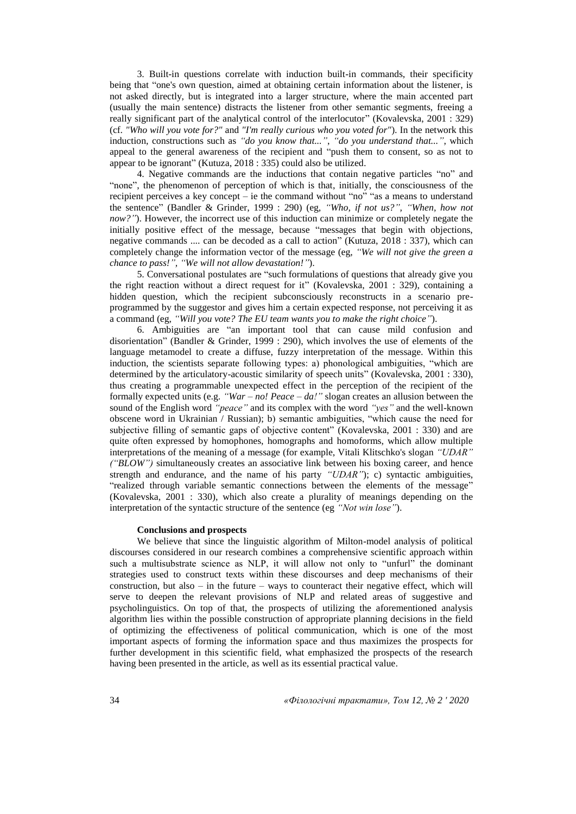3. Built-in questions correlate with induction built-in commands, their specificity being that "one's own question, aimed at obtaining certain information about the listener, is not asked directly, but is integrated into a larger structure, where the main accented part (usually the main sentence) distracts the listener from other semantic segments, freeing a really significant part of the analytical control of the interlocutor" (Kovalevska, 2001 : 329) (cf. *"Who will you vote for?"* and *"I'm really curious who you voted for"*). In the network this induction, constructions such as *"do you know that..."*, *"do you understand that..."*, which appeal to the general awareness of the recipient and "push them to consent, so as not to appear to be ignorant" (Kutuza, 2018 : 335) could also be utilized.

4. Negative commands are the inductions that contain negative particles "no" and "none", the phenomenon of perception of which is that, initially, the consciousness of the recipient perceives a key concept – ie the command without "no" "as a means to understand the sentence" (Bandler & Grinder, 1999 : 290) (eg*, "Who, if not us?", "When, how not now?"*). However, the incorrect use of this induction can minimize or completely negate the initially positive effect of the message, because "messages that begin with objections, negative commands .... can be decoded as a call to action" (Kutuza, 2018 : 337), which can completely change the information vector of the message (eg, *"We will not give the green a chance to pass!", "We will not allow devastation!"*).

5. Conversational postulates are "such formulations of questions that already give you the right reaction without a direct request for it" (Kovalevska, 2001 : 329), containing a hidden question, which the recipient subconsciously reconstructs in a scenario preprogrammed by the suggestor and gives him a certain expected response, not perceiving it as a command (eg, *"Will you vote? The EU team wants you to make the right choice"*).

6. Ambiguities are "an important tool that can cause mild confusion and disorientation" (Bandler & Grinder, 1999 : 290), which involves the use of elements of the language metamodel to create a diffuse, fuzzy interpretation of the message. Within this induction, the scientists separate following types: а) phonological ambiguities, "which are determined by the articulatory-acoustic similarity of speech units" (Kovalevska, 2001 : 330), thus creating a programmable unexpected effect in the perception of the recipient of the formally expected units (e.g. *"War – no! Peace – da!"* slogan creates an allusion between the sound of the English word *"peace"* and its complex with the word *"yes"* and the well-known obscene word in Ukrainian / Russian); b) semantic ambiguities, "which cause the need for subjective filling of semantic gaps of objective content" (Kovalevska, 2001 : 330) and are quite often expressed by homophones, homographs and homoforms, which allow multiple interpretations of the meaning of a message (for example, Vitali Klitschko's slogan *"UDAR" ("BLOW")* simultaneously creates an associative link between his boxing career, and hence strength and endurance, and the name of his party *"UDAR"*); c) syntactic ambiguities, "realized through variable semantic connections between the elements of the message" (Kovalevska, 2001 : 330), which also create a plurality of meanings depending on the interpretation of the syntactic structure of the sentence (eg *"Not win lose"*).

# **Conclusions and prospects**

We believe that since the linguistic algorithm of Milton-model analysis of political discourses considered in our research combines a comprehensive scientific approach within such a multisubstrate science as NLP, it will allow not only to "unfurl" the dominant strategies used to construct texts within these discourses and deep mechanisms of their construction, but also – in the future – ways to counteract their negative effect, which will serve to deepen the relevant provisions of NLP and related areas of suggestive and psycholinguistics. On top of that, the prospects of utilizing the aforementioned analysis algorithm lies within the possible construction of appropriate planning decisions in the field of optimizing the effectiveness of political communication, which is one of the most important aspects of forming the information space and thus maximizes the prospects for further development in this scientific field, what emphasized the prospects of the research having been presented in the article, as well as its essential practical value.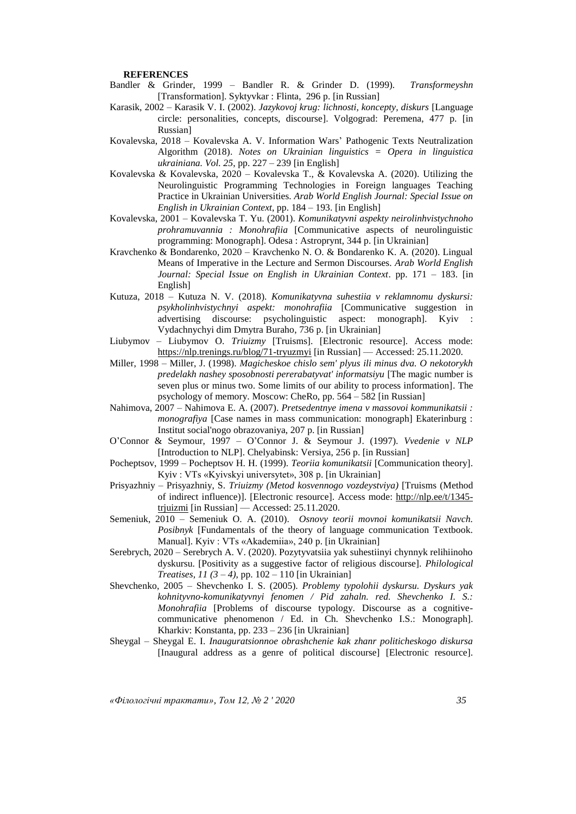### **REFERENCES**

- Bandler & Grinder, 1999 Bandler R. & Grinder D. (1999). *Transformeyshn* [Transformation]. Syktyvkar : Flinta, 296 p. [in Russian]
- Karasik, 2002 Karasik V. I. (2002). *Jazykovoj krug: lichnosti, koncepty, diskurs* [Language circle: personalities, concepts, discourse]. Volgograd: Peremena, 477 p. [in Russian]
- Kovalevska, 2018 Kovalevska A. V. Information Wars' Pathogenic Texts Neutralization Algorithm (2018). *Notes on Ukrainian linguistics = Opera in linguistica ukrainiana. Vol. 25*, pp. 227 – 239 [in English]
- Kovalevska & Kovalevska, 2020 Kovalevska T., & Kovalevska A. (2020). Utilizing the Neurolinguistic Programming Technologies in Foreign languages Teaching Practice in Ukrainian Universities. *Arab World English Journal: Special Issue on English in Ukrainian Context*, pp. 184 – 193. [in English]
- Kovalevska, 2001 Kovalevska T. Yu. (2001). *Komunikatyvni aspekty neirolinhvistychnoho prohramuvannia : Monohrafiia* [Communicative aspects of neurolinguistic programming: Monograph]. Odesa : Astroprynt, 344 p. [in Ukrainian]
- Kravchenko & Bondarenko, 2020 Kravchenko N. O. & Bondarenko K. A. (2020). Lingual Means of Imperative in the Lecture and Sermon Discourses. *Arab World English Journal: Special Issue on English in Ukrainian Context*. pp. 171 – 183. [in English]
- Kutuza, 2018 Kutuza N. V. (2018). *Komunikatyvna suhestiia v reklamnomu dyskursi: psykholinhvistychnyi aspekt: monohrafiia* [Communicative suggestion in advertising discourse: psycholinguistic aspect: monograph]. Kyiv : Vydachnychyi dim Dmytra Buraho, 736 p. [in Ukrainian]
- Liubymov Liubymov O. *Triuizmy* [Truisms]. [Electronic resource]. Access mode: <https://nlp.trenings.ru/blog/71-tryuzmyi> [in Russian] –– Accessed: 25.11.2020.
- Miller, 1998 Miller, J. (1998). *Magicheskoe chislo sem' plyus ili minus dva. O nekotorykh predelakh nashey sposobnosti pererabatyvat' informatsiyu* [The magic number is seven plus or minus two. Some limits of our ability to process information]. The psychology of memory. Moscow: CheRo, pp. 564 – 582 [in Russian]
- Nahimova, 2007 Nahimova E. A. (2007). *Pretsedentnye imena v massovoi kommunikatsii : monografiya* [Case names in mass communication: monograph] Ekaterinburg : Institut social'nogo obrazovaniya, 207 p. [in Russian]
- O'Connor & Seymour, 1997 O'Connor J. & Seymour J. (1997). *Vvedenie v NLP* [Introduction to NLP]. Chelyabinsk: Versiya, 256 p. [in Russian]
- Pocheptsov, 1999 Pocheptsov H. H. (1999). *Teoriia komunikatsii* [Communication theory]. Kyiv : VTs «Kyivskyi universytet», 308 p. [in Ukrainian]
- Prisyazhniy Prisyazhniy, S. *Triuizmy (Metod kosvennogo vozdeystviya)* [Truisms (Method of indirect influence)]. [Electronic resource]. Access mode: [http://nlp.ee/t/1345](http://nlp.ee/t/1345-trjuizmi) [trjuizmi](http://nlp.ee/t/1345-trjuizmi) [in Russian] –– Accessed: 25.11.2020.
- Semeniuk, 2010 Semeniuk O. A. (2010). *Osnovy teorii movnoi komunikatsii Navch. Posibnyk* [Fundamentals of the theory of language communication Textbook. Manual]. Kyiv : VTs «Akademiia», 240 p. [in Ukrainian]
- Serebrych, 2020 Serebrych A. V. (2020). Pozytyvatsiia yak suhestiinyi chynnyk relihiinoho dyskursu. [Positivity as a suggestive factor of religious discourse]. *Philological Treatises, 11 (3 – 4)*, pp. 102 – 110 [in Ukrainian]
- Shevchenko, 2005 Shevchenko I. S. (2005). *Problemy typolohii dyskursu. Dyskurs yak kohnityvno-komunikatyvnyi fenomen / Pid zahaln. red. Shevchenko I. S.: Monohrafiia* [Problems of discourse typology. Discourse as a cognitivecommunicative phenomenon / Ed. in Ch. Shevchenko I.S.: Monograph]. Kharkiv: Konstanta, pp. 233 – 236 [in Ukrainian]
- Sheygal Sheygal E. I. *Inauguratsionnoe obrashchenie kak zhanr politicheskogo diskursa* [Inaugural address as a genre of political discourse] [Electronic resource].